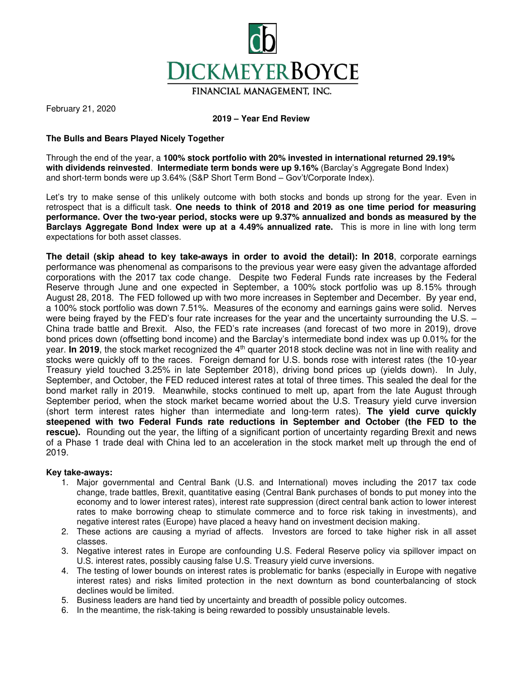

FINANCIAL MANAGEMENT, INC.

February 21, 2020

# **2019 – Year End Review**

# **The Bulls and Bears Played Nicely Together**

Through the end of the year, a **100% stock portfolio with 20% invested in international returned 29.19% with dividends reinvested**. **Intermediate term bonds were up 9.16%** (Barclay's Aggregate Bond Index) and short-term bonds were up 3.64% (S&P Short Term Bond – Gov't/Corporate Index).

Let's try to make sense of this unlikely outcome with both stocks and bonds up strong for the year. Even in retrospect that is a difficult task. **One needs to think of 2018 and 2019 as one time period for measuring performance. Over the two-year period, stocks were up 9.37% annualized and bonds as measured by the Barclays Aggregate Bond Index were up at a 4.49% annualized rate.** This is more in line with long term expectations for both asset classes.

**The detail (skip ahead to key take-aways in order to avoid the detail): In 2018**, corporate earnings performance was phenomenal as comparisons to the previous year were easy given the advantage afforded corporations with the 2017 tax code change. Despite two Federal Funds rate increases by the Federal Reserve through June and one expected in September, a 100% stock portfolio was up 8.15% through August 28, 2018. The FED followed up with two more increases in September and December. By year end, a 100% stock portfolio was down 7.51%. Measures of the economy and earnings gains were solid. Nerves were being frayed by the FED's four rate increases for the year and the uncertainty surrounding the U.S. – China trade battle and Brexit. Also, the FED's rate increases (and forecast of two more in 2019), drove bond prices down (offsetting bond income) and the Barclay's intermediate bond index was up 0.01% for the year. **In 2019**, the stock market recognized the 4<sup>th</sup> quarter 2018 stock decline was not in line with reality and stocks were quickly off to the races. Foreign demand for U.S. bonds rose with interest rates (the 10-year Treasury yield touched 3.25% in late September 2018), driving bond prices up (yields down). In July, September, and October, the FED reduced interest rates at total of three times. This sealed the deal for the bond market rally in 2019. Meanwhile, stocks continued to melt up, apart from the late August through September period, when the stock market became worried about the U.S. Treasury yield curve inversion (short term interest rates higher than intermediate and long-term rates). **The yield curve quickly steepened with two Federal Funds rate reductions in September and October (the FED to the**  rescue). Rounding out the year, the lifting of a significant portion of uncertainty regarding Brexit and news of a Phase 1 trade deal with China led to an acceleration in the stock market melt up through the end of 2019.

### **Key take-aways:**

- 1. Major governmental and Central Bank (U.S. and International) moves including the 2017 tax code change, trade battles, Brexit, quantitative easing (Central Bank purchases of bonds to put money into the economy and to lower interest rates), interest rate suppression (direct central bank action to lower interest rates to make borrowing cheap to stimulate commerce and to force risk taking in investments), and negative interest rates (Europe) have placed a heavy hand on investment decision making.
- 2. These actions are causing a myriad of affects. Investors are forced to take higher risk in all asset classes.
- 3. Negative interest rates in Europe are confounding U.S. Federal Reserve policy via spillover impact on U.S. interest rates, possibly causing false U.S. Treasury yield curve inversions.
- 4. The testing of lower bounds on interest rates is problematic for banks (especially in Europe with negative interest rates) and risks limited protection in the next downturn as bond counterbalancing of stock declines would be limited.
- 5. Business leaders are hand tied by uncertainty and breadth of possible policy outcomes.
- 6. In the meantime, the risk-taking is being rewarded to possibly unsustainable levels.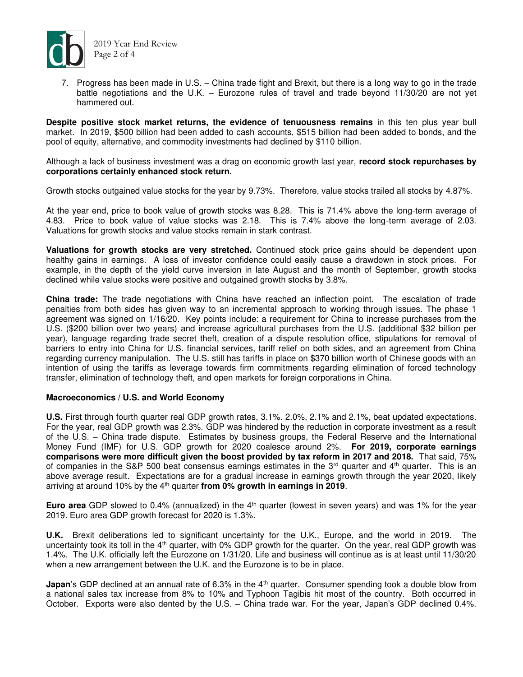

7. Progress has been made in U.S. – China trade fight and Brexit, but there is a long way to go in the trade battle negotiations and the U.K. – Eurozone rules of travel and trade beyond 11/30/20 are not yet hammered out.

**Despite positive stock market returns, the evidence of tenuousness remains** in this ten plus year bull market. In 2019, \$500 billion had been added to cash accounts, \$515 billion had been added to bonds, and the pool of equity, alternative, and commodity investments had declined by \$110 billion.

Although a lack of business investment was a drag on economic growth last year, **record stock repurchases by corporations certainly enhanced stock return.** 

Growth stocks outgained value stocks for the year by 9.73%. Therefore, value stocks trailed all stocks by 4.87%.

At the year end, price to book value of growth stocks was 8.28. This is 71.4% above the long-term average of 4.83. Price to book value of value stocks was 2.18. This is 7.4% above the long-term average of 2.03. Valuations for growth stocks and value stocks remain in stark contrast.

**Valuations for growth stocks are very stretched.** Continued stock price gains should be dependent upon healthy gains in earnings. A loss of investor confidence could easily cause a drawdown in stock prices. For example, in the depth of the yield curve inversion in late August and the month of September, growth stocks declined while value stocks were positive and outgained growth stocks by 3.8%.

**China trade:** The trade negotiations with China have reached an inflection point. The escalation of trade penalties from both sides has given way to an incremental approach to working through issues. The phase 1 agreement was signed on 1/16/20. Key points include: a requirement for China to increase purchases from the U.S. (\$200 billion over two years) and increase agricultural purchases from the U.S. (additional \$32 billion per year), language regarding trade secret theft, creation of a dispute resolution office, stipulations for removal of barriers to entry into China for U.S. financial services, tariff relief on both sides, and an agreement from China regarding currency manipulation. The U.S. still has tariffs in place on \$370 billion worth of Chinese goods with an intention of using the tariffs as leverage towards firm commitments regarding elimination of forced technology transfer, elimination of technology theft, and open markets for foreign corporations in China.

### **Macroeconomics / U.S. and World Economy**

**U.S.** First through fourth quarter real GDP growth rates, 3.1%. 2.0%, 2.1% and 2.1%, beat updated expectations. For the year, real GDP growth was 2.3%. GDP was hindered by the reduction in corporate investment as a result of the U.S. – China trade dispute. Estimates by business groups, the Federal Reserve and the International Money Fund (IMF) for U.S. GDP growth for 2020 coalesce around 2%. **For 2019, corporate earnings comparisons were more difficult given the boost provided by tax reform in 2017 and 2018.** That said, 75% of companies in the S&P 500 beat consensus earnings estimates in the  $3<sup>rd</sup>$  quarter and  $4<sup>th</sup>$  quarter. This is an above average result. Expectations are for a gradual increase in earnings growth through the year 2020, likely arriving at around 10% by the 4<sup>th</sup> quarter from 0% growth in earnings in 2019.

**Euro area** GDP slowed to 0.4% (annualized) in the 4<sup>th</sup> quarter (lowest in seven years) and was 1% for the year 2019. Euro area GDP growth forecast for 2020 is 1.3%.

**U.K.** Brexit deliberations led to significant uncertainty for the U.K., Europe, and the world in 2019. The uncertainty took its toll in the 4<sup>th</sup> quarter, with 0% GDP growth for the quarter. On the year, real GDP growth was 1.4%. The U.K. officially left the Eurozone on 1/31/20. Life and business will continue as is at least until 11/30/20 when a new arrangement between the U.K. and the Eurozone is to be in place.

**Japan**'s GDP declined at an annual rate of 6.3% in the 4<sup>th</sup> quarter. Consumer spending took a double blow from a national sales tax increase from 8% to 10% and Typhoon Tagibis hit most of the country. Both occurred in October. Exports were also dented by the U.S. – China trade war. For the year, Japan's GDP declined 0.4%.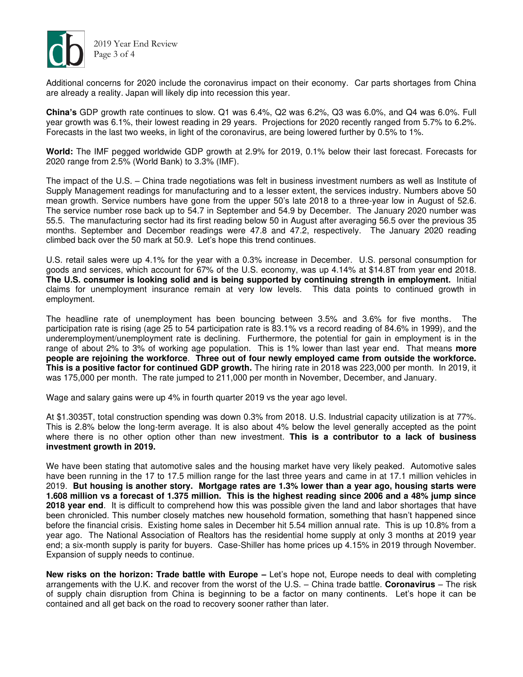

Additional concerns for 2020 include the coronavirus impact on their economy. Car parts shortages from China are already a reality. Japan will likely dip into recession this year.

**China's** GDP growth rate continues to slow. Q1 was 6.4%, Q2 was 6.2%, Q3 was 6.0%, and Q4 was 6.0%. Full year growth was 6.1%, their lowest reading in 29 years. Projections for 2020 recently ranged from 5.7% to 6.2%. Forecasts in the last two weeks, in light of the coronavirus, are being lowered further by 0.5% to 1%.

**World:** The IMF pegged worldwide GDP growth at 2.9% for 2019, 0.1% below their last forecast. Forecasts for 2020 range from 2.5% (World Bank) to 3.3% (IMF).

The impact of the U.S. – China trade negotiations was felt in business investment numbers as well as Institute of Supply Management readings for manufacturing and to a lesser extent, the services industry. Numbers above 50 mean growth. Service numbers have gone from the upper 50's late 2018 to a three-year low in August of 52.6. The service number rose back up to 54.7 in September and 54.9 by December. The January 2020 number was 55.5. The manufacturing sector had its first reading below 50 in August after averaging 56.5 over the previous 35 months. September and December readings were 47.8 and 47.2, respectively. The January 2020 reading climbed back over the 50 mark at 50.9. Let's hope this trend continues.

U.S. retail sales were up 4.1% for the year with a 0.3% increase in December. U.S. personal consumption for goods and services, which account for 67% of the U.S. economy, was up 4.14% at \$14.8T from year end 2018. **The U.S. consumer is looking solid and is being supported by continuing strength in employment.** Initial claims for unemployment insurance remain at very low levels. This data points to continued growth in employment.

The headline rate of unemployment has been bouncing between 3.5% and 3.6% for five months. The participation rate is rising (age 25 to 54 participation rate is 83.1% vs a record reading of 84.6% in 1999), and the underemployment/unemployment rate is declining. Furthermore, the potential for gain in employment is in the range of about 2% to 3% of working age population. This is 1% lower than last year end. That means **more people are rejoining the workforce**. **Three out of four newly employed came from outside the workforce. This is a positive factor for continued GDP growth.** The hiring rate in 2018 was 223,000 per month. In 2019, it was 175,000 per month. The rate jumped to 211,000 per month in November, December, and January.

Wage and salary gains were up 4% in fourth quarter 2019 vs the year ago level.

At \$1.3035T, total construction spending was down 0.3% from 2018. U.S. Industrial capacity utilization is at 77%. This is 2.8% below the long-term average. It is also about 4% below the level generally accepted as the point where there is no other option other than new investment. **This is a contributor to a lack of business investment growth in 2019.** 

We have been stating that automotive sales and the housing market have very likely peaked. Automotive sales have been running in the 17 to 17.5 million range for the last three years and came in at 17.1 million vehicles in 2019. **But housing is another story. Mortgage rates are 1.3% lower than a year ago, housing starts were 1.608 million vs a forecast of 1.375 million. This is the highest reading since 2006 and a 48% jump since 2018 year end**. It is difficult to comprehend how this was possible given the land and labor shortages that have been chronicled. This number closely matches new household formation, something that hasn't happened since before the financial crisis. Existing home sales in December hit 5.54 million annual rate. This is up 10.8% from a year ago. The National Association of Realtors has the residential home supply at only 3 months at 2019 year end; a six-month supply is parity for buyers. Case-Shiller has home prices up 4.15% in 2019 through November. Expansion of supply needs to continue.

**New risks on the horizon: Trade battle with Europe – Let's hope not, Europe needs to deal with completing** arrangements with the U.K. and recover from the worst of the U.S. – China trade battle. **Coronavirus** – The risk of supply chain disruption from China is beginning to be a factor on many continents. Let's hope it can be contained and all get back on the road to recovery sooner rather than later.